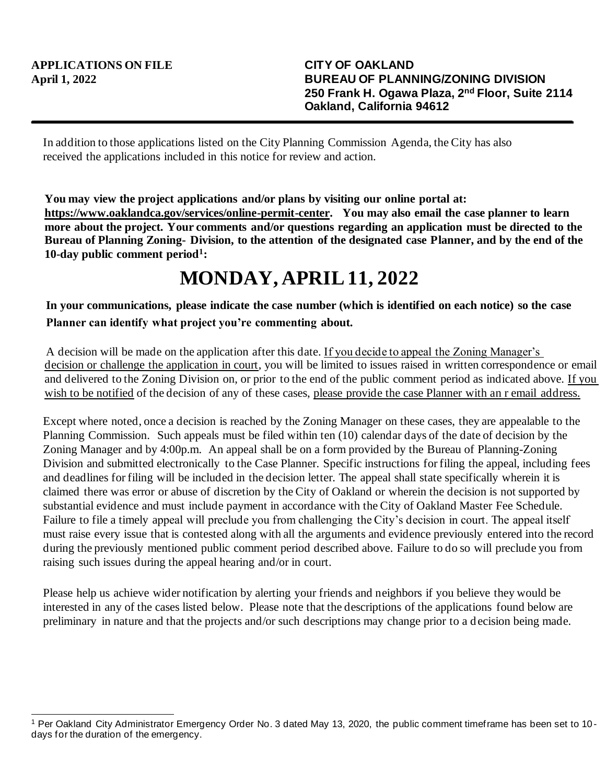In addition to those applications listed on the City Planning Commission Agenda, the City has also received the applications included in this notice for review and action.

**You may view the project applications and/or plans by visiting our online portal at: https://www.oaklandca.gov/services/online-permit-center. You may also email the case planner to learn more about the project. Your comments and/or questions regarding an application must be directed to the Bureau of Planning Zoning- Division, to the attention of the designated case Planner, and by the end of the 10-day public comment period<sup>1</sup> :**

## **MONDAY, APRIL 11, 2022**

**In your communications, please indicate the case number (which is identified on each notice) so the case Planner can identify what project you're commenting about.**

A decision will be made on the application after this date. If you decide to appeal the Zoning Manager's decision or challenge the application in court, you will be limited to issues raised in written correspondence or email and delivered to the Zoning Division on, or prior to the end of the public comment period as indicated above. If you wish to be notified of the decision of any of these cases, please provide the case Planner with an r email address.

Except where noted, once a decision is reached by the Zoning Manager on these cases, they are appealable to the Planning Commission. Such appeals must be filed within ten (10) calendar days of the date of decision by the Zoning Manager and by 4:00p.m. An appeal shall be on a form provided by the Bureau of Planning-Zoning Division and submitted electronically to the Case Planner. Specific instructions for filing the appeal, including fees and deadlines for filing will be included in the decision letter. The appeal shall state specifically wherein it is claimed there was error or abuse of discretion by the City of Oakland or wherein the decision is not supported by substantial evidence and must include payment in accordance with the City of Oakland Master Fee Schedule. Failure to file a timely appeal will preclude you from challenging the City's decision in court. The appeal itself must raise every issue that is contested along with all the arguments and evidence previously entered into the record during the previously mentioned public comment period described above. Failure to do so will preclude you from raising such issues during the appeal hearing and/or in court.

Please help us achieve wider notification by alerting your friends and neighbors if you believe they would be interested in any of the cases listed below. Please note that the descriptions of the applications found below are preliminary in nature and that the projects and/or such descriptions may change prior to a d ecision being made.

<sup>1</sup> Per Oakland City Administrator Emergency Order No. 3 dated May 13, 2020, the public comment timeframe has been set to 10 days for the duration of the emergency.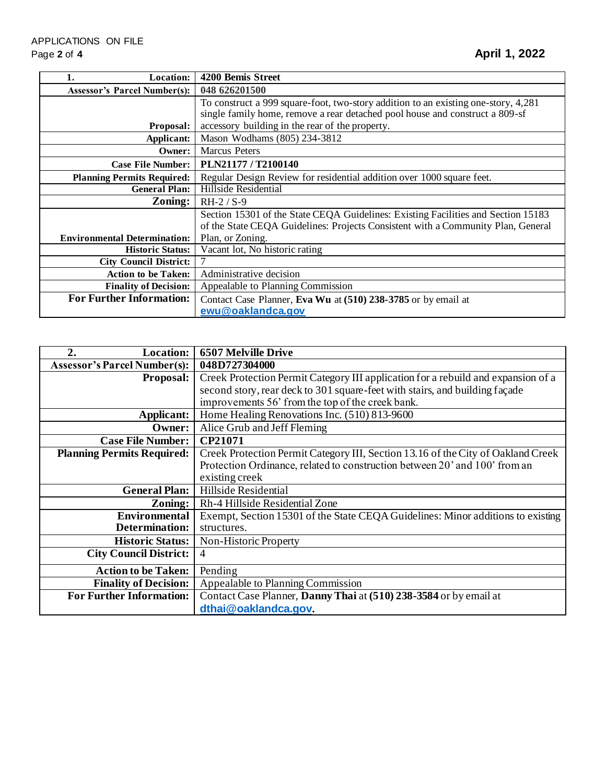| Location:<br>1.                     | 4200 Bemis Street                                                                                                                                                                                                     |
|-------------------------------------|-----------------------------------------------------------------------------------------------------------------------------------------------------------------------------------------------------------------------|
| <b>Assessor's Parcel Number(s):</b> | 048 626201500                                                                                                                                                                                                         |
| <b>Proposal:</b>                    | To construct a 999 square-foot, two-story addition to an existing one-story, 4,281<br>single family home, remove a rear detached pool house and construct a 809-sf<br>accessory building in the rear of the property. |
| Applicant:                          | Mason Wodhams (805) 234-3812                                                                                                                                                                                          |
| Owner:                              | <b>Marcus</b> Peters                                                                                                                                                                                                  |
| <b>Case File Number:</b>            | PLN21177 / T2100140                                                                                                                                                                                                   |
| <b>Planning Permits Required:</b>   | Regular Design Review for residential addition over 1000 square feet.                                                                                                                                                 |
| <b>General Plan:</b>                | Hillside Residential                                                                                                                                                                                                  |
| Zoning:                             | $RH-2 / S-9$                                                                                                                                                                                                          |
| <b>Environmental Determination:</b> | Section 15301 of the State CEQA Guidelines: Existing Facilities and Section 15183<br>of the State CEQA Guidelines: Projects Consistent with a Community Plan, General<br>Plan, or Zoning.                             |
| <b>Historic Status:</b>             | Vacant lot, No historic rating                                                                                                                                                                                        |
| <b>City Council District:</b>       | 7                                                                                                                                                                                                                     |
| <b>Action to be Taken:</b>          | Administrative decision                                                                                                                                                                                               |
| <b>Finality of Decision:</b>        | Appealable to Planning Commission                                                                                                                                                                                     |
| <b>For Further Information:</b>     | Contact Case Planner, Eva Wu at (510) 238-3785 or by email at                                                                                                                                                         |
|                                     | ewu@oaklandca.gov                                                                                                                                                                                                     |

| <b>Location:</b><br>2.              | <b>6507 Melville Drive</b>                                                        |
|-------------------------------------|-----------------------------------------------------------------------------------|
| <b>Assessor's Parcel Number(s):</b> | 048D727304000                                                                     |
| <b>Proposal:</b>                    | Creek Protection Permit Category III application for a rebuild and expansion of a |
|                                     | second story, rear deck to 301 square-feet with stairs, and building façade       |
|                                     | improvements 56' from the top of the creek bank.                                  |
| Applicant:                          | Home Healing Renovations Inc. (510) 813-9600                                      |
| Owner:                              | Alice Grub and Jeff Fleming                                                       |
| <b>Case File Number:</b>            | CP21071                                                                           |
| <b>Planning Permits Required:</b>   | Creek Protection Permit Category III, Section 13.16 of the City of Oakland Creek  |
|                                     | Protection Ordinance, related to construction between 20' and 100' from an        |
|                                     | existing creek                                                                    |
| <b>General Plan:</b>                | Hillside Residential                                                              |
| Zoning:                             | Rh-4 Hillside Residential Zone                                                    |
| <b>Environmental</b>                | Exempt, Section 15301 of the State CEQA Guidelines: Minor additions to existing   |
| Determination:                      | structures.                                                                       |
| <b>Historic Status:</b>             | Non-Historic Property                                                             |
| <b>City Council District:</b>       | $\overline{4}$                                                                    |
| <b>Action to be Taken:</b>          | Pending                                                                           |
| <b>Finality of Decision:</b>        | Appealable to Planning Commission                                                 |
| <b>For Further Information:</b>     | Contact Case Planner, Danny Thai at (510) 238-3584 or by email at                 |
|                                     | dthai@oaklandca.gov.                                                              |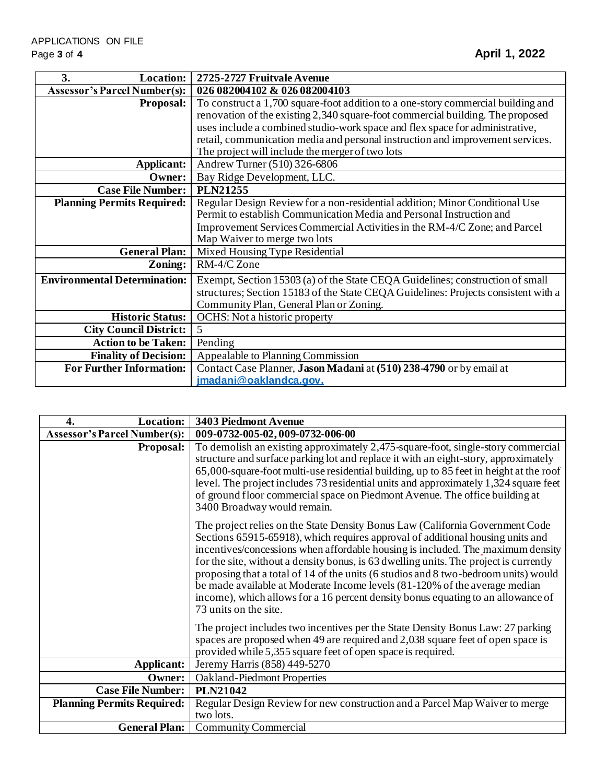| <b>Location:</b><br>3.              | 2725-2727 Fruitvale Avenue                                                         |
|-------------------------------------|------------------------------------------------------------------------------------|
| <b>Assessor's Parcel Number(s):</b> | 026 082004102 & 026 082004103                                                      |
| <b>Proposal:</b>                    | To construct a 1,700 square-foot addition to a one-story commercial building and   |
|                                     | renovation of the existing 2,340 square-foot commercial building. The proposed     |
|                                     | uses include a combined studio-work space and flex space for administrative,       |
|                                     | retail, communication media and personal instruction and improvement services.     |
|                                     | The project will include the merger of two lots                                    |
| Applicant:                          | Andrew Turner (510) 326-6806                                                       |
| Owner:                              | Bay Ridge Development, LLC.                                                        |
| <b>Case File Number:</b>            | <b>PLN21255</b>                                                                    |
| <b>Planning Permits Required:</b>   | Regular Design Review for a non-residential addition; Minor Conditional Use        |
|                                     | Permit to establish Communication Media and Personal Instruction and               |
|                                     | Improvement Services Commercial Activities in the RM-4/C Zone; and Parcel          |
|                                     | Map Waiver to merge two lots                                                       |
| <b>General Plan:</b>                | Mixed Housing Type Residential                                                     |
| Zoning:                             | RM-4/C Zone                                                                        |
| <b>Environmental Determination:</b> | Exempt, Section 15303 (a) of the State CEQA Guidelines; construction of small      |
|                                     | structures; Section 15183 of the State CEQA Guidelines: Projects consistent with a |
|                                     | Community Plan, General Plan or Zoning.                                            |
| <b>Historic Status:</b>             | OCHS: Not a historic property                                                      |
| <b>City Council District:</b>       | 5                                                                                  |
| <b>Action to be Taken:</b>          | Pending                                                                            |
| <b>Finality of Decision:</b>        | Appealable to Planning Commission                                                  |
| <b>For Further Information:</b>     | Contact Case Planner, Jason Madani at (510) 238-4790 or by email at                |
|                                     | jmadani@oaklandca.gov.                                                             |

| <b>Location:</b><br>4.              | 3403 Piedmont Avenue                                                                                                                                                                                                                                                                                                                                                                                                                                                                                                                                                                                                          |
|-------------------------------------|-------------------------------------------------------------------------------------------------------------------------------------------------------------------------------------------------------------------------------------------------------------------------------------------------------------------------------------------------------------------------------------------------------------------------------------------------------------------------------------------------------------------------------------------------------------------------------------------------------------------------------|
| <b>Assessor's Parcel Number(s):</b> | 009-0732-005-02, 009-0732-006-00                                                                                                                                                                                                                                                                                                                                                                                                                                                                                                                                                                                              |
| <b>Proposal:</b>                    | To demolish an existing approximately 2,475-square-foot, single-story commercial<br>structure and surface parking lot and replace it with an eight-story, approximately<br>65,000-square-foot multi-use residential building, up to 85 feet in height at the roof<br>level. The project includes 73 residential units and approximately 1,324 square feet<br>of ground floor commercial space on Piedmont Avenue. The office building at<br>3400 Broadway would remain.                                                                                                                                                       |
|                                     | The project relies on the State Density Bonus Law (California Government Code<br>Sections 65915-65918), which requires approval of additional housing units and<br>incentives/concessions when affordable housing is included. The maximum density<br>for the site, without a density bonus, is 63 dwelling units. The project is currently<br>proposing that a total of 14 of the units (6 studios and 8 two-bedroom units) would<br>be made available at Moderate Income levels (81-120% of the average median<br>income), which allows for a 16 percent density bonus equating to an allowance of<br>73 units on the site. |
|                                     | The project includes two incentives per the State Density Bonus Law: 27 parking<br>spaces are proposed when 49 are required and 2,038 square feet of open space is<br>provided while 5,355 square feet of open space is required.                                                                                                                                                                                                                                                                                                                                                                                             |
| Applicant:                          | Jeremy Harris (858) 449-5270                                                                                                                                                                                                                                                                                                                                                                                                                                                                                                                                                                                                  |
| Owner:                              | <b>Oakland-Piedmont Properties</b>                                                                                                                                                                                                                                                                                                                                                                                                                                                                                                                                                                                            |
| <b>Case File Number:</b>            | <b>PLN21042</b>                                                                                                                                                                                                                                                                                                                                                                                                                                                                                                                                                                                                               |
| <b>Planning Permits Required:</b>   | Regular Design Review for new construction and a Parcel Map Waiver to merge<br>two lots.                                                                                                                                                                                                                                                                                                                                                                                                                                                                                                                                      |
| <b>General Plan:</b>                | <b>Community Commercial</b>                                                                                                                                                                                                                                                                                                                                                                                                                                                                                                                                                                                                   |